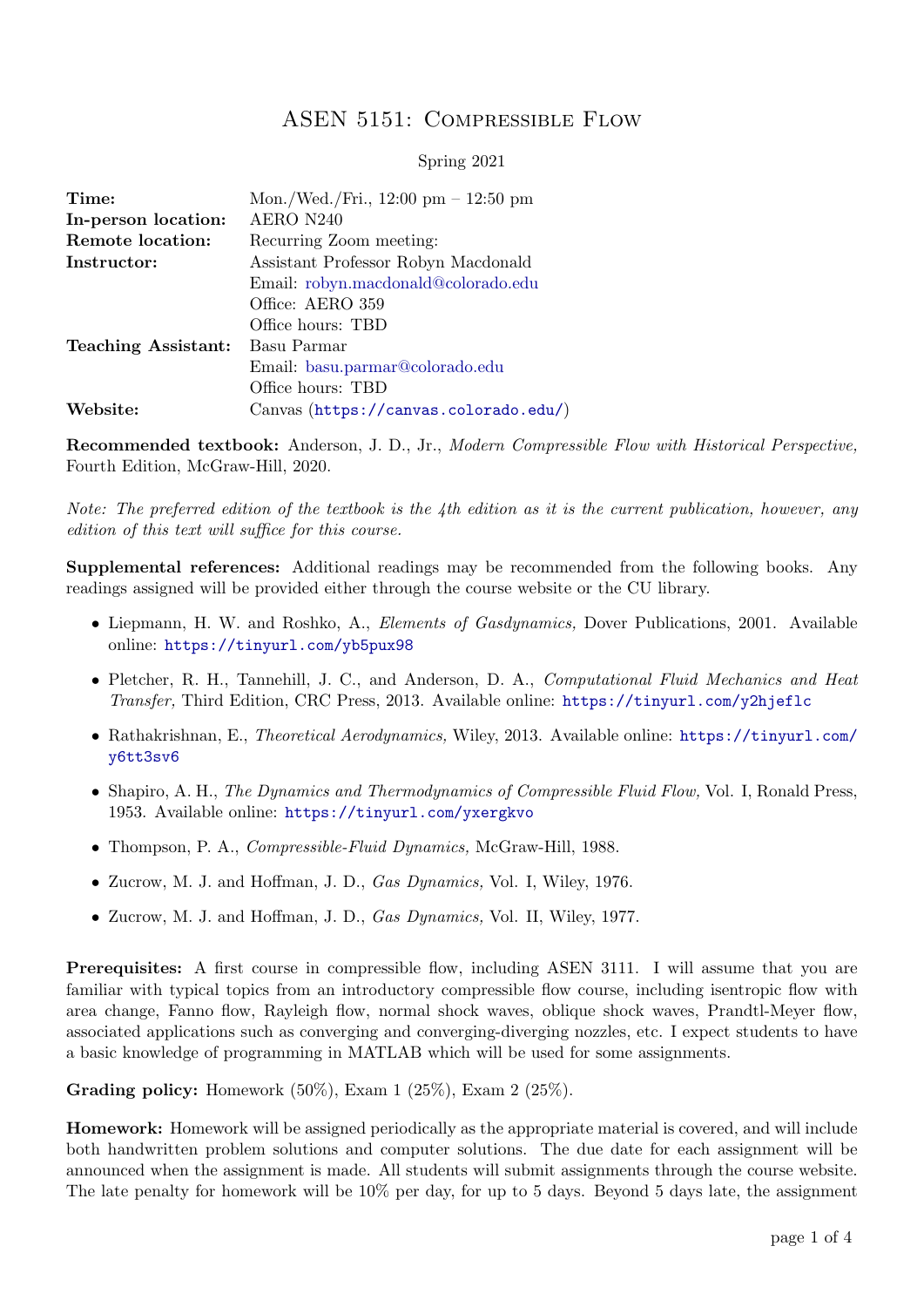## ASEN 5151: Compressible Flow

## Spring 2021

| Time:                      | Mon./Wed./Fri., $12:00 \text{ pm} - 12:50 \text{ pm}$ |
|----------------------------|-------------------------------------------------------|
| In-person location:        | AERO N240                                             |
| Remote location:           | Recurring Zoom meeting:                               |
| Instructor:                | Assistant Professor Robyn Macdonald                   |
|                            | Email: robyn.macdonald@colorado.edu                   |
|                            | Office: AERO 359                                      |
|                            | Office hours: TBD                                     |
| <b>Teaching Assistant:</b> | Basu Parmar                                           |
|                            | Email: basu.parmar@colorado.edu                       |
|                            | Office hours: TBD                                     |
| Website:                   | Canvas (https://canvas.colorado.edu/)                 |

Recommended textbook: Anderson, J. D., Jr., Modern Compressible Flow with Historical Perspective, Fourth Edition, McGraw-Hill, 2020.

Note: The preferred edition of the textbook is the 4th edition as it is the current publication, however, any edition of this text will suffice for this course.

Supplemental references: Additional readings may be recommended from the following books. Any readings assigned will be provided either through the course website or the CU library.

- Liepmann, H. W. and Roshko, A., *Elements of Gasdynamics*, Dover Publications, 2001. Available online: <https://tinyurl.com/yb5pux98>
- Pletcher, R. H., Tannehill, J. C., and Anderson, D. A., Computational Fluid Mechanics and Heat Transfer, Third Edition, CRC Press, 2013. Available online: <https://tinyurl.com/y2hjeflc>
- Rathakrishnan, E., *Theoretical Aerodynamics*, Wiley, 2013. Available online: [https://tinyurl.com/](https://tinyurl.com/y6tt3sv6) [y6tt3sv6](https://tinyurl.com/y6tt3sv6)
- Shapiro, A. H., The Dynamics and Thermodynamics of Compressible Fluid Flow, Vol. I, Ronald Press, 1953. Available online: <https://tinyurl.com/yxergkvo>
- Thompson, P. A., *Compressible-Fluid Dynamics*, McGraw-Hill, 1988.
- Zucrow, M. J. and Hoffman, J. D., Gas Dynamics, Vol. I, Wiley, 1976.
- Zucrow, M. J. and Hoffman, J. D., *Gas Dynamics*, Vol. II, Wiley, 1977.

**Prerequisites:** A first course in compressible flow, including ASEN 3111. I will assume that you are familiar with typical topics from an introductory compressible flow course, including isentropic flow with area change, Fanno flow, Rayleigh flow, normal shock waves, oblique shock waves, Prandtl-Meyer flow, associated applications such as converging and converging-diverging nozzles, etc. I expect students to have a basic knowledge of programming in MATLAB which will be used for some assignments.

**Grading policy:** Homework  $(50\%)$ , Exam  $1$   $(25\%)$ , Exam  $2$   $(25\%)$ .

Homework: Homework will be assigned periodically as the appropriate material is covered, and will include both handwritten problem solutions and computer solutions. The due date for each assignment will be announced when the assignment is made. All students will submit assignments through the course website. The late penalty for homework will be 10% per day, for up to 5 days. Beyond 5 days late, the assignment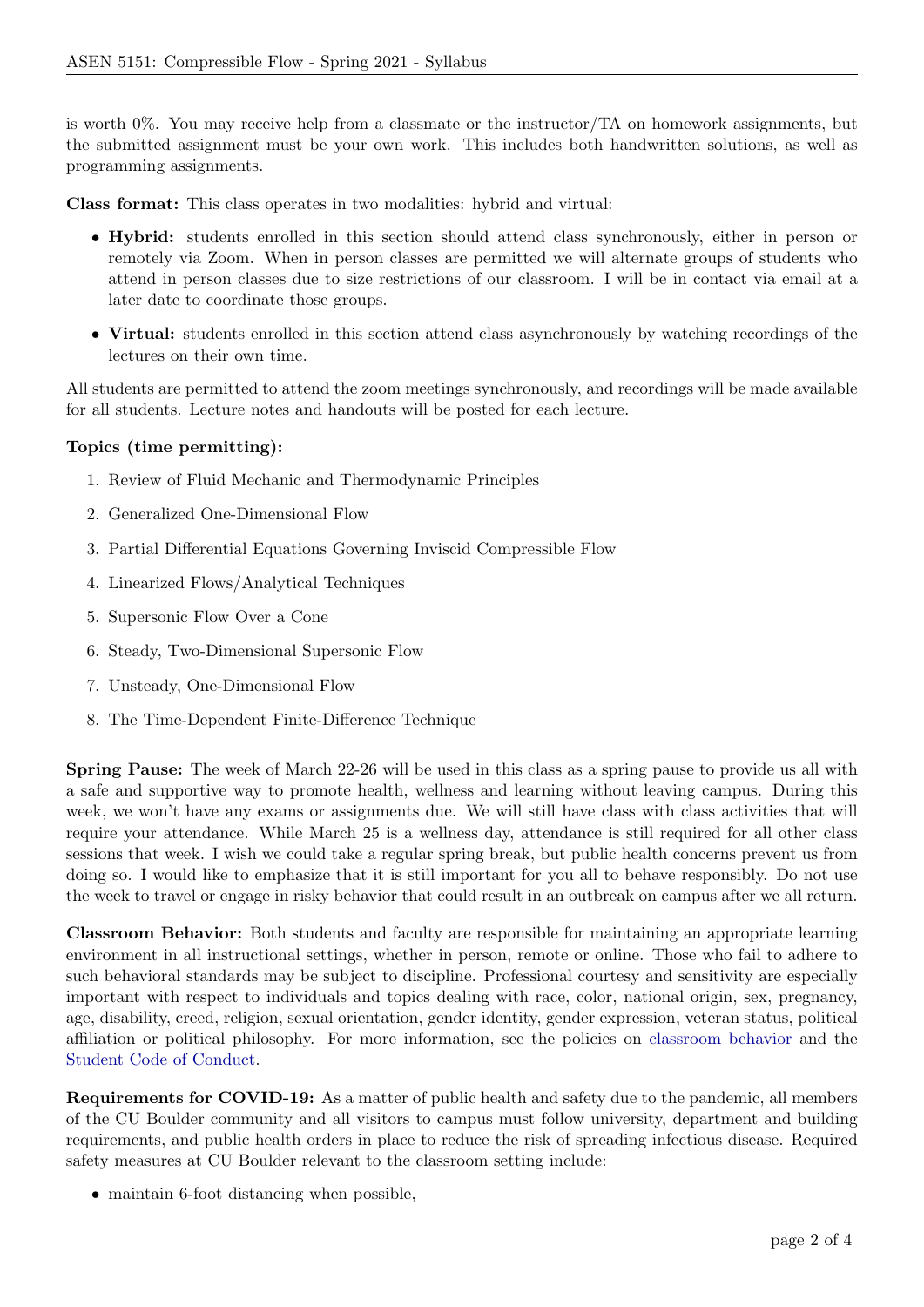is worth 0%. You may receive help from a classmate or the instructor/TA on homework assignments, but the submitted assignment must be your own work. This includes both handwritten solutions, as well as programming assignments.

Class format: This class operates in two modalities: hybrid and virtual:

- Hybrid: students enrolled in this section should attend class synchronously, either in person or remotely via Zoom. When in person classes are permitted we will alternate groups of students who attend in person classes due to size restrictions of our classroom. I will be in contact via email at a later date to coordinate those groups.
- Virtual: students enrolled in this section attend class asynchronously by watching recordings of the lectures on their own time.

All students are permitted to attend the zoom meetings synchronously, and recordings will be made available for all students. Lecture notes and handouts will be posted for each lecture.

## Topics (time permitting):

- 1. Review of Fluid Mechanic and Thermodynamic Principles
- 2. Generalized One-Dimensional Flow
- 3. Partial Differential Equations Governing Inviscid Compressible Flow
- 4. Linearized Flows/Analytical Techniques
- 5. Supersonic Flow Over a Cone
- 6. Steady, Two-Dimensional Supersonic Flow
- 7. Unsteady, One-Dimensional Flow
- 8. The Time-Dependent Finite-Difference Technique

Spring Pause: The week of March 22-26 will be used in this class as a spring pause to provide us all with a safe and supportive way to promote health, wellness and learning without leaving campus. During this week, we won't have any exams or assignments due. We will still have class with class activities that will require your attendance. While March 25 is a wellness day, attendance is still required for all other class sessions that week. I wish we could take a regular spring break, but public health concerns prevent us from doing so. I would like to emphasize that it is still important for you all to behave responsibly. Do not use the week to travel or engage in risky behavior that could result in an outbreak on campus after we all return.

Classroom Behavior: Both students and faculty are responsible for maintaining an appropriate learning environment in all instructional settings, whether in person, remote or online. Those who fail to adhere to such behavioral standards may be subject to discipline. Professional courtesy and sensitivity are especially important with respect to individuals and topics dealing with race, color, national origin, sex, pregnancy, age, disability, creed, religion, sexual orientation, gender identity, gender expression, veteran status, political affiliation or political philosophy. For more information, see the policies on [classroom behavior](http://www.colorado.edu/policies/student-classroom-and-course-related-behavior) and the [Student Code of Conduct.](https://www.colorado.edu/sccr/sites/default/files/attached-files/2020-2021_student_code_of_conduct_0.pdf)

Requirements for COVID-19: As a matter of public health and safety due to the pandemic, all members of the CU Boulder community and all visitors to campus must follow university, department and building requirements, and public health orders in place to reduce the risk of spreading infectious disease. Required safety measures at CU Boulder relevant to the classroom setting include:

• maintain 6-foot distancing when possible,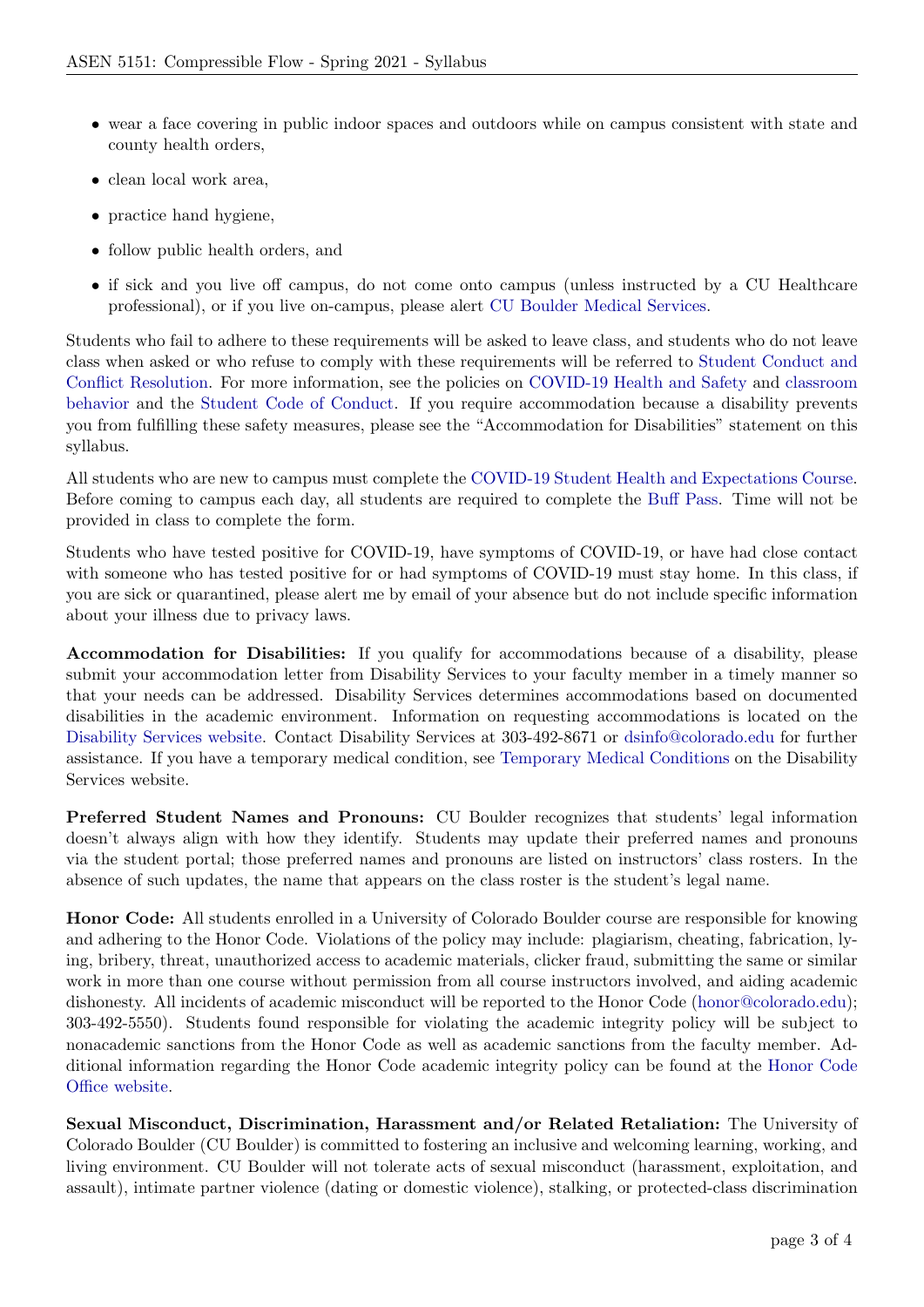- wear a face covering in public indoor spaces and outdoors while on campus consistent with state and county health orders,
- clean local work area,
- practice hand hygiene.
- follow public health orders, and
- if sick and you live off campus, do not come onto campus (unless instructed by a CU Healthcare professional), or if you live on-campus, please alert [CU Boulder Medical Services.](https://www.colorado.edu/healthcenter/coronavirus-updates/symptoms-and-what-do-if-you-feel-sick)

Students who fail to adhere to these requirements will be asked to leave class, and students who do not leave class when asked or who refuse to comply with these requirements will be referred to [Student Conduct and](https://www.colorado.edu/sccr/) [Conflict Resolution.](https://www.colorado.edu/sccr/) For more information, see the policies on [COVID-19 Health and Safety](https://www.colorado.edu/policies/covid-19-health-and-safety-policy) and [classroom](http://www.colorado.edu/policies/student-classroom-and-course-related-behavior) [behavior](http://www.colorado.edu/policies/student-classroom-and-course-related-behavior) and the [Student Code of Conduct.](http://www.colorado.edu/osccr/) If you require accommodation because a disability prevents you from fulfilling these safety measures, please see the "Accommodation for Disabilities" statement on this syllabus.

All students who are new to campus must complete the [COVID-19 Student Health and Expectations Course.](https://www.colorado.edu/protect-our-herd/how#anchor1) Before coming to campus each day, all students are required to complete the [Buff Pass.](https://pass.colorado.edu/login) Time will not be provided in class to complete the form.

Students who have tested positive for COVID-19, have symptoms of COVID-19, or have had close contact with someone who has tested positive for or had symptoms of COVID-19 must stay home. In this class, if you are sick or quarantined, please alert me by email of your absence but do not include specific information about your illness due to privacy laws.

Accommodation for Disabilities: If you qualify for accommodations because of a disability, please submit your accommodation letter from Disability Services to your faculty member in a timely manner so that your needs can be addressed. Disability Services determines accommodations based on documented disabilities in the academic environment. Information on requesting accommodations is located on the [Disability Services website.](https://www.colorado.edu/disabilityservices/) Contact Disability Services at 303-492-8671 or [dsinfo@colorado.edu](mailto:dsinfo@colorado.edu) for further assistance. If you have a temporary medical condition, see [Temporary Medical Conditions](http://www.colorado.edu/disabilityservices/students/temporary-medical-conditions) on the Disability Services website.

Preferred Student Names and Pronouns: CU Boulder recognizes that students' legal information doesn't always align with how they identify. Students may update their preferred names and pronouns via the student portal; those preferred names and pronouns are listed on instructors' class rosters. In the absence of such updates, the name that appears on the class roster is the student's legal name.

Honor Code: All students enrolled in a University of Colorado Boulder course are responsible for knowing and adhering to the Honor Code. Violations of the policy may include: plagiarism, cheating, fabrication, lying, bribery, threat, unauthorized access to academic materials, clicker fraud, submitting the same or similar work in more than one course without permission from all course instructors involved, and aiding academic dishonesty. All incidents of academic misconduct will be reported to the Honor Code [\(honor@colorado.edu\)](mailto:honor@colorado.edu); 303-492-5550). Students found responsible for violating the academic integrity policy will be subject to nonacademic sanctions from the Honor Code as well as academic sanctions from the faculty member. Additional information regarding the Honor Code academic integrity policy can be found at the [Honor Code](https://www.colorado.edu/osccr/honor-code) [Office website.](https://www.colorado.edu/osccr/honor-code)

Sexual Misconduct, Discrimination, Harassment and/or Related Retaliation: The University of Colorado Boulder (CU Boulder) is committed to fostering an inclusive and welcoming learning, working, and living environment. CU Boulder will not tolerate acts of sexual misconduct (harassment, exploitation, and assault), intimate partner violence (dating or domestic violence), stalking, or protected-class discrimination